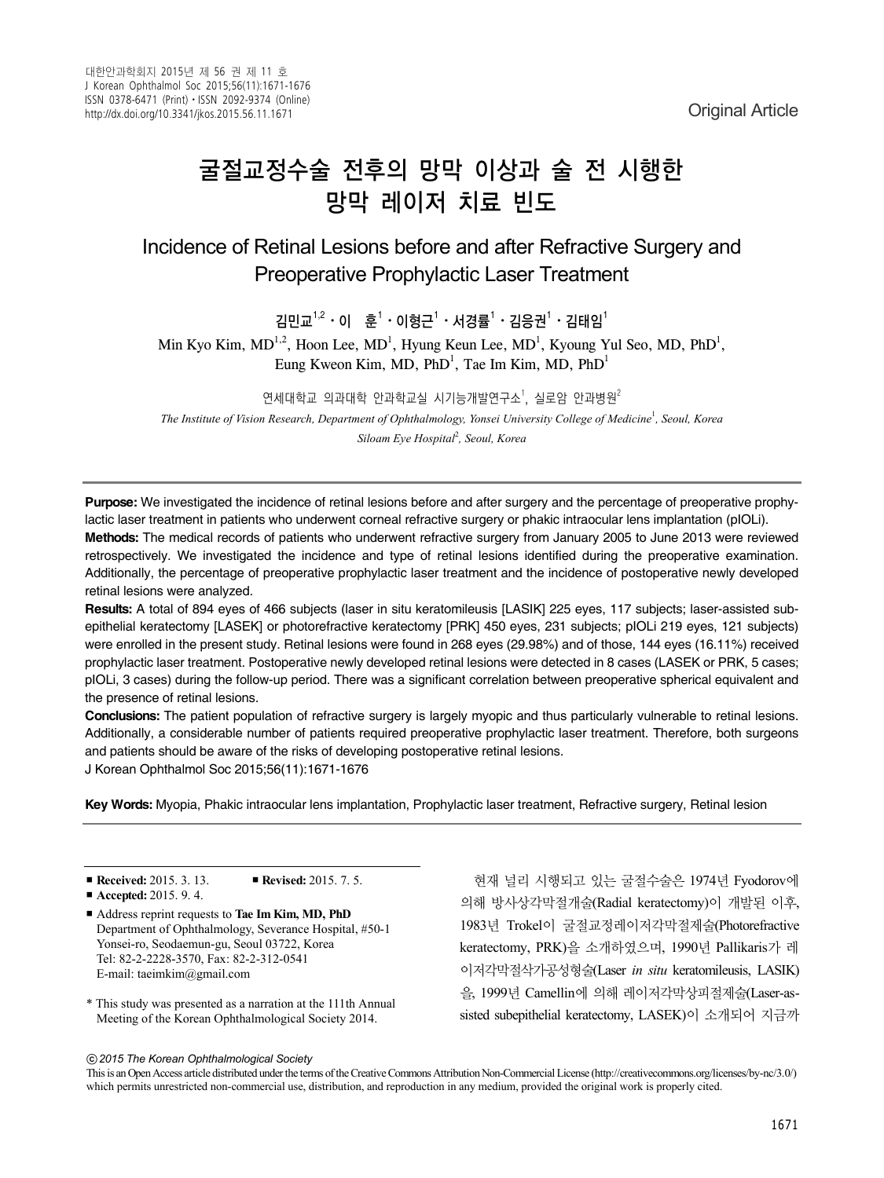# 굴절교정수술 전후의 망막 이상과 술 전 시행한 망막 레이저 치료 빈도

Incidence of Retinal Lesions before and after Refractive Surgery and Preoperative Prophylactic Laser Treatment

김민교 $^{1,2}\cdot$  이 훈 $^1\cdot$ 이형근 $^1\cdot$ 서경률 $^1\cdot$ 김응권 $^1\cdot$ 김태임 $^1$ 

Min Kyo Kim,  $MD^{1,2}$ , Hoon Lee,  $MD^1$ , Hyung Keun Lee,  $MD^1$ , Kyoung Yul Seo, MD, PhD<sup>1</sup>, Eung Kweon Kim, MD, PhD<sup>1</sup>, Tae Im Kim, MD, PhD<sup>1</sup>

연세대학교 의과대학 안과학교실 시기능개발연구소<sup>1</sup>, 실로암 안과병원 $^2$ 

*The Institute of Vision Research, Department of Ophthalmology, Yonsei University College of Medicine*<sup>1</sup> *, Seoul, Korea Siloam Eye Hospital*<sup>2</sup> *, Seoul, Korea*

**Purpose:** We investigated the incidence of retinal lesions before and after surgery and the percentage of preoperative prophylactic laser treatment in patients who underwent corneal refractive surgery or phakic intraocular lens implantation (pIOLi).

**Methods:** The medical records of patients who underwent refractive surgery from January 2005 to June 2013 were reviewed retrospectively. We investigated the incidence and type of retinal lesions identified during the preoperative examination. Additionally, the percentage of preoperative prophylactic laser treatment and the incidence of postoperative newly developed retinal lesions were analyzed.

**Results:** A total of 894 eyes of 466 subjects (laser in situ keratomileusis [LASIK] 225 eyes, 117 subjects; laser-assisted subepithelial keratectomy [LASEK] or photorefractive keratectomy [PRK] 450 eyes, 231 subjects; pIOLi 219 eyes, 121 subjects) were enrolled in the present study. Retinal lesions were found in 268 eyes (29.98%) and of those, 144 eyes (16.11%) received prophylactic laser treatment. Postoperative newly developed retinal lesions were detected in 8 cases (LASEK or PRK, 5 cases; pIOLi, 3 cases) during the follow-up period. There was a significant correlation between preoperative spherical equivalent and the presence of retinal lesions.

**Conclusions:** The patient population of refractive surgery is largely myopic and thus particularly vulnerable to retinal lesions. Additionally, a considerable number of patients required preoperative prophylactic laser treatment. Therefore, both surgeons and patients should be aware of the risks of developing postoperative retinal lesions.

J Korean Ophthalmol Soc 2015;56(11):1671-1676

**Key Words:** Myopia, Phakic intraocular lens implantation, Prophylactic laser treatment, Refractive surgery, Retinal lesion

■ **Received:** 2015. 3. 13. ■ **Revised:** 2015. 7. 5.

E-mail: taeimkim@gmail.com

- **Accepted:** 2015. 9. 4. ■ Address reprint requests to **Tae Im Kim, MD, PhD** Department of Ophthalmology, Severance Hospital, #50-1 Yonsei-ro, Seodaemun-gu, Seoul 03722, Korea Tel: 82-2-2228-3570, Fax: 82-2-312-0541
- \* This study was presented as a narration at the 111th Annual Meeting of the Korean Ophthalmological Society 2014.

현재 널리 시행되고 있는 굴절수술은 1974년 Fyodorov에 의해 방사상각막절개술(Radial keratectomy)이 개발된 이후, 1983년 Trokel이 굴절교정레이저각막절제술(Photorefractive keratectomy, PRK)을 소개하였으며, 1990년 Pallikaris가 레 이저각막절삭가공성형술(Laser *in situ* keratomileusis, LASIK) 을, 1999년 Camellin에 의해 레이저각막상피절제술(Laser-assisted subepithelial keratectomy, LASEK)이 소개되어 지금까

ⓒ*2015 The Korean Ophthalmological Society*

This is an Open Access article distributed under the terms of the Creative Commons Attribution Non-Commercial License (http://creativecommons.org/licenses/by-nc/3.0/) which permits unrestricted non-commercial use, distribution, and reproduction in any medium, provided the original work is properly cited.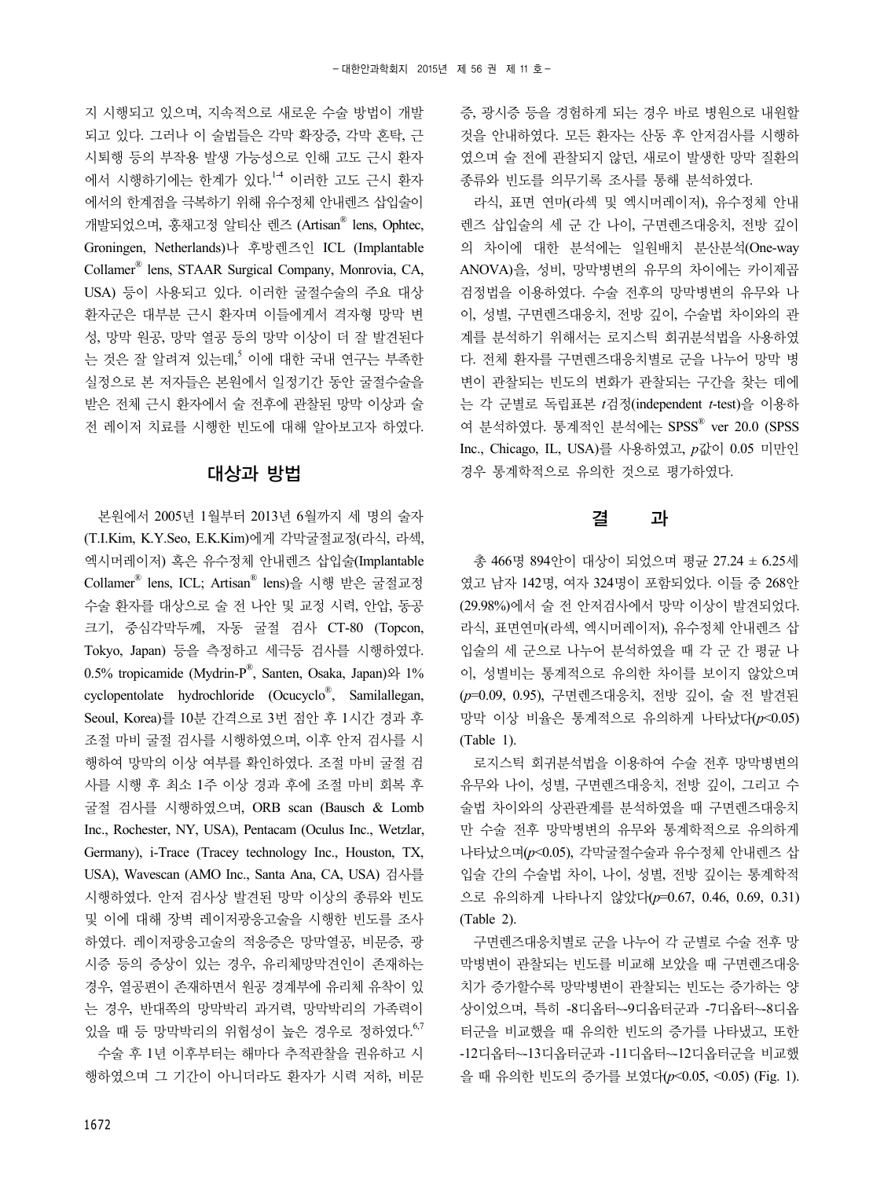지 시행되고 있으며, 지속적으로 새로운 수술 방법이 개발 되고 있다. 그러나 이 술법들은 각막 확장증, 각막 혼탁, 근 시퇴행 등의 부작용 발생 가능성으로 인해 고도 근시 환자 에서 시행하기에는 한계가 있다. 1-4 이러한 고도 근시 환자 에서의 한계점을 극복하기 위해 유수정체 안내렌즈 삽입술이 개발되었으며, 홍채고정 알티산 렌즈 (Artisan® lens, Ophtec, Groningen, Netherlands)나 후방렌즈인 ICL (Implantable Collamer® lens, STAAR Surgical Company, Monrovia, CA, USA) 등이 사용되고 있다. 이러한 굴절수술의 주요 대상 환자군은 대부분 근시 환자며 이들에게서 격자형 망막 변 성, 망막 원공, 망막 열공 등의 망막 이상이 더 잘 발견된다 는 것은 잘 알려져 있는데,<sup>5</sup> 이에 대한 국내 연구는 부족한 실정으로 본 저자들은 본원에서 일정기간 동안 굴절수술을 받은 전체 근시 환자에서 술 전후에 관찰된 망막 이상과 술 전 레이저 치료를 시행한 빈도에 대해 알아보고자 하였다.

#### 대상과 방법

본원에서 2005년 1월부터 2013년 6월까지 세 명의 술자 (T.I.Kim, K.Y.Seo, E.K.Kim)에게 각막굴절교정(라식, 라섹, 엑시머레이저) 혹은 유수정체 안내렌즈 삽입술(Implantable Collamer® lens, ICL; Artisan® lens)을 시행 받은 굴절교정 수술 환자를 대상으로 술 전 나안 및 교정 시력, 안압, 동공 크기, 중심각막두께, 자동 굴절 검사 CT-80 (Topcon, Tokyo, Japan) 등을 측정하고 세극등 검사를 시행하였다. 0.5% tropicamide (Mydrin-P®, Santen, Osaka, Japan)와 1% cyclopentolate hydrochloride (Ocucyclo® , Samilallegan, Seoul, Korea)를 10분 간격으로 3번 점안 후 1시간 경과 후 조절 마비 굴절 검사를 시행하였으며, 이후 안저 검사를 시 행하여 망막의 이상 여부를 확인하였다. 조절 마비 굴절 검 사를 시행 후 최소 1주 이상 경과 후에 조절 마비 회복 후 굴절 검사를 시행하였으며, ORB scan (Bausch & Lomb Inc., Rochester, NY, USA), Pentacam (Oculus Inc., Wetzlar, Germany), i-Trace (Tracey technology Inc., Houston, TX, USA), Wavescan (AMO Inc., Santa Ana, CA, USA) 검사를 시행하였다. 안저 검사상 발견된 망막 이상의 종류와 빈도 및 이에 대해 장벽 레이저광응고술을 시행한 빈도를 조사 하였다. 레이저광응고술의 적응증은 망막열공, 비문증, 광 시증 등의 증상이 있는 경우, 유리체망막견인이 존재하는 경우, 열공편이 존재하면서 원공 경계부에 유리체 유착이 있 는 경우, 반대쪽의 망막박리 과거력, 망막박리의 가족력이 있을 때 등 망막박리의 위험성이 높은 경우로 정하였다. <sup>6,7</sup>

수술 후 1년 이후부터는 해마다 추적관찰을 권유하고 시 행하였으며 그 기간이 아니더라도 환자가 시력 저하, 비문 증, 광시증 등을 경험하게 되는 경우 바로 병원으로 내원할 것을 안내하였다. 모든 환자는 산동 후 안저검사를 시행하 였으며 술 전에 관찰되지 않던, 새로이 발생한 망막 질환의 종류와 빈도를 의무기록 조사를 통해 분석하였다.

라식, 표면 연마(라섹 및 엑시머레이저), 유수정체 안내 렌즈 삽입술의 세 군 간 나이, 구면렌즈대응치, 전방 깊이 의 차이에 대한 분석에는 일원배치 분산분석(One-way ANOVA)을, 성비, 망막병변의 유무의 차이에는 카이제곱 검정법을 이용하였다. 수술 전후의 망막병변의 유무와 나 이, 성별, 구면렌즈대응치, 전방 깊이, 수술법 차이와의 관 계를 분석하기 위해서는 로지스틱 회귀분석법을 사용하였 다. 전체 환자를 구면렌즈대응치별로 군을 나누어 망막 병 변이 관찰되는 빈도의 변화가 관찰되는 구간을 찾는 데에 는 각 군별로 독립표본 *t*검정(independent *t*-test)을 이용하 여 분석하였다. 통계적인 분석에는 SPSS® ver 20.0 (SPSS Inc., Chicago, IL, USA)를 사용하였고, *p*값이 0.05 미만인 경우 통계학적으로 유의한 것으로 평가하였다.

#### 결 과

총 466명 894안이 대상이 되었으며 평균 27.24 ± 6.25세 였고 남자 142명, 여자 324명이 포함되었다. 이들 중 268안 (29.98%)에서 술 전 안저검사에서 망막 이상이 발견되었다. 라식, 표면연마(라섹, 엑시머레이저), 유수정체 안내렌즈 삽 입술의 세 군으로 나누어 분석하였을 때 각 군 간 평균 나 이, 성별비는 통계적으로 유의한 차이를 보이지 않았으며 (*p*=0.09, 0.95), 구면렌즈대응치, 전방 깊이, 술 전 발견된 망막 이상 비율은 통계적으로 유의하게 나타났다(*p*<0.05) (Table 1).

로지스틱 회귀분석법을 이용하여 수술 전후 망막병변의 유무와 나이, 성별, 구면렌즈대응치, 전방 깊이, 그리고 수 술법 차이와의 상관관계를 분석하였을 때 구면렌즈대응치 만 수술 전후 망막병변의 유무와 통계학적으로 유의하게 나타났으며(*p*<0.05), 각막굴절수술과 유수정체 안내렌즈 삽 입술 간의 수술법 차이, 나이, 성별, 전방 깊이는 통계학적 으로 유의하게 나타나지 않았다(*p*=0.67, 0.46, 0.69, 0.31) (Table 2).

구면렌즈대응치별로 군을 나누어 각 군별로 수술 전후 망 막병변이 관찰되는 빈도를 비교해 보았을 때 구면렌즈대응 치가 증가할수록 망막병변이 관찰되는 빈도는 증가하는 양 상이었으며, 특히 -8디옵터~-9디옵터군과 -7디옵터~-8디옵 터군을 비교했을 때 유의한 빈도의 증가를 나타냈고, 또한 -12디옵터~-13디옵터군과 -11디옵터~-12디옵터군을 비교했 을 때 유의한 빈도의 증가를 보였다(*p*<0.05, <0.05) (Fig. 1).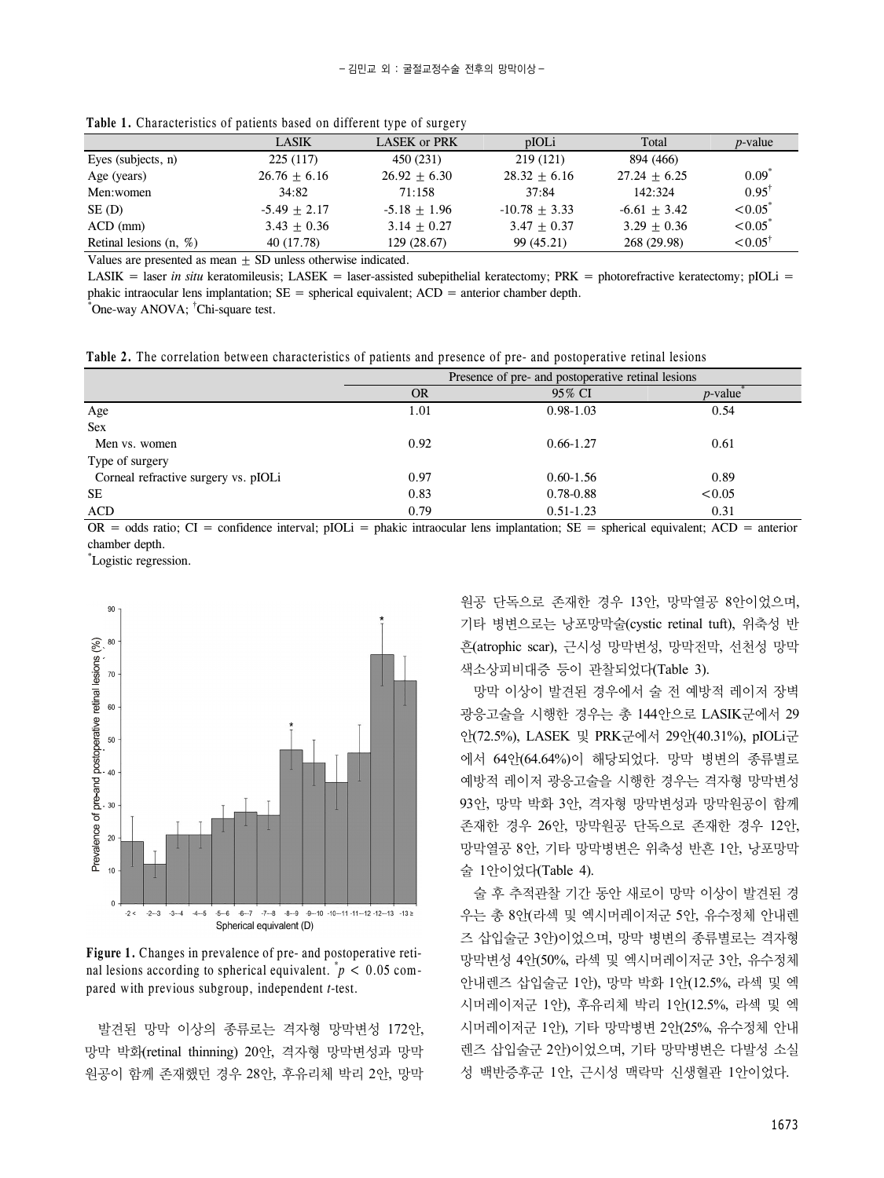|                          | <b>LASIK</b>   | <b>LASEK or PRK</b> | pIOLi           | Total          | <i>p</i> -value       |
|--------------------------|----------------|---------------------|-----------------|----------------|-----------------------|
| Eyes (subjects, n)       | 225(117)       | 450 (231)           | 219(121)        | 894 (466)      |                       |
| Age (years)              | $26.76 + 6.16$ | $26.92 + 6.30$      | $28.32 + 6.16$  | $27.24 + 6.25$ | $0.09^{\degree}$      |
| Men:women                | 34:82          | 71:158              | 37:84           | 142:324        | $0.95^{\dagger}$      |
| SE (D)                   | $-5.49 + 2.17$ | $-5.18 + 1.96$      | $-10.78 + 3.33$ | $-6.61 + 3.42$ | $< 0.05^{\degree}$    |
| $ACD$ (mm)               | $3.43 + 0.36$  | $3.14 + 0.27$       | $3.47 + 0.37$   | $3.29 + 0.36$  | $< 0.05$ <sup>*</sup> |
| Retinal lesions $(n, %)$ | 40 (17.78)     | 129 (28.67)         | 99 (45.21)      | 268 (29.98)    | $< 0.05^{\dagger}$    |

**Table 1.** Characteristics of patients based on different type of surgery

Values are presented as mean  $\pm$  SD unless otherwise indicated.

LASIK = laser *in situ* keratomileusis; LASEK = laser-assisted subepithelial keratectomy; PRK = photorefractive keratectomy; pIOLi = phakic intraocular lens implantation;  $SE = spherical$  equivalent;  $ACD =$  anterior chamber depth.

\* One-way ANOVA; † Chi-square test.

**Table 2.** The correlation between characteristics of patients and presence of pre- and postoperative retinal lesions

|                                      | Presence of pre- and postoperative retinal lesions |               |                        |  |
|--------------------------------------|----------------------------------------------------|---------------|------------------------|--|
|                                      | <b>OR</b>                                          | 95% CI        | $p$ -value $\tilde{p}$ |  |
| Age                                  | 1.01                                               | $0.98 - 1.03$ | 0.54                   |  |
| <b>Sex</b>                           |                                                    |               |                        |  |
| Men vs. women                        | 0.92                                               | $0.66 - 1.27$ | 0.61                   |  |
| Type of surgery                      |                                                    |               |                        |  |
| Corneal refractive surgery vs. pIOLi | 0.97                                               | $0.60 - 1.56$ | 0.89                   |  |
| <b>SE</b>                            | 0.83                                               | $0.78 - 0.88$ | < 0.05                 |  |
| ACD                                  | 0.79                                               | $0.51 - 1.23$ | 0.31                   |  |

OR = odds ratio; CI = confidence interval; pIOLi = phakic intraocular lens implantation; SE = spherical equivalent; ACD = anterior chamber depth.

\* Logistic regression.



**Figure 1.** Changes in prevalence of pre- and postoperative retinal lesions according to spherical equivalent.  $p < 0.05$  compared with previous subgroup, independent *t*-test.

발견된 망막 이상의 종류로는 격자형 망막변성 172안, 망막 박화(retinal thinning) 20안, 격자형 망막변성과 망막 원공이 함께 존재했던 경우 28안, 후유리체 박리 2안, 망막 원공 단독으로 존재한 경우 13안, 망막열공 8안이었으며, 기타 병변으로는 낭포망막술(cystic retinal tuft), 위축성 반 흔(atrophic scar), 근시성 망막변성, 망막전막, 선천성 망막 색소상피비대증 등이 관찰되었다(Table 3).

망막 이상이 발견된 경우에서 술 전 예방적 레이저 장벽 광응고술을 시행한 경우는 총 144안으로 LASIK군에서 29 안(72.5%), LASEK 및 PRK군에서 29안(40.31%), pIOLi군 에서 64안(64.64%)이 해당되었다. 망막 병변의 종류별로 예방적 레이저 광응고술을 시행한 경우는 격자형 망막변성 93안, 망막 박화 3안, 격자형 망막변성과 망막원공이 함께 존재한 경우 26안, 망막원공 단독으로 존재한 경우 12안, 망막열공 8안, 기타 망막병변은 위축성 반흔 1안, 낭포망막 술 1안이었다(Table 4).

술 후 추적관찰 기간 동안 새로이 망막 이상이 발견된 경 우는 총 8안(라섹 및 엑시머레이저군 5안, 유수정체 안내렌 즈 삽입술군 3안)이었으며, 망막 병변의 종류별로는 격자형 망막변성 4안(50%, 라섹 및 엑시머레이저군 3안, 유수정체 안내렌즈 삽입술군 1안), 망막 박화 1안(12.5%, 라섹 및 엑 시머레이저군 1안), 후유리체 박리 1안(12.5%, 라섹 및 엑 시머레이저군 1안), 기타 망막병변 2안(25%, 유수정체 안내 렌즈 삽입술군 2안)이었으며, 기타 망막병변은 다발성 소실 성 백반증후군 1안, 근시성 맥락막 신생혈관 1안이었다.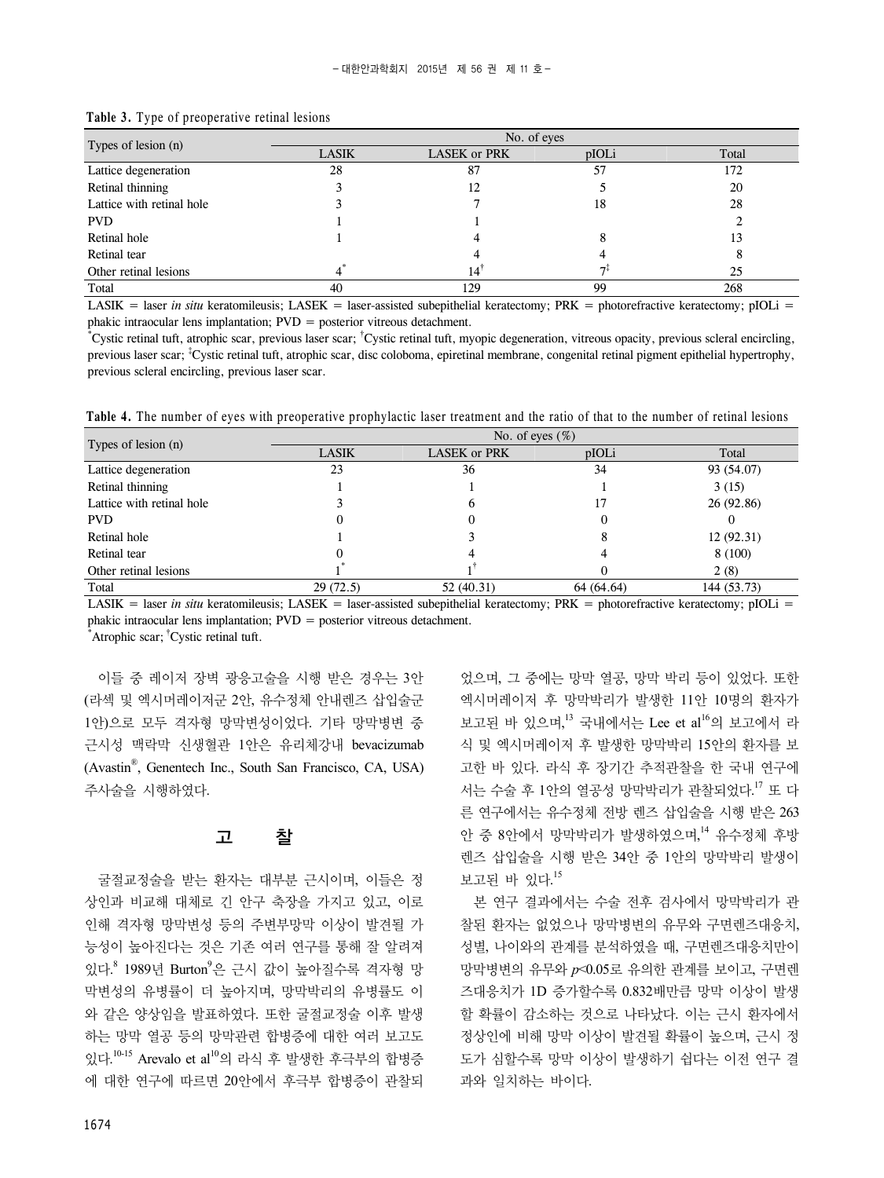| Types of lesion $(n)$     | No. of eyes  |                     |                |       |
|---------------------------|--------------|---------------------|----------------|-------|
|                           | <b>LASIK</b> | <b>LASEK or PRK</b> | pIOLi          | Total |
| Lattice degeneration      | 28           | 87                  | 57             | 172   |
| Retinal thinning          |              | 12                  |                | 20    |
| Lattice with retinal hole |              |                     | 18             | 28    |
| <b>PVD</b>                |              |                     |                |       |
| Retinal hole              |              |                     |                | 13    |
| Retinal tear              |              |                     |                |       |
| Other retinal lesions     |              | 14                  | 7 <sup>1</sup> | 25    |
| Total                     | 40           | 129                 | 99             | 268   |

#### **Table 3.** Type of preoperative retinal lesions

LASIK = laser *in situ* keratomileusis; LASEK = laser-assisted subepithelial keratectomy; PRK = photorefractive keratectomy; pIOLi = phakic intraocular lens implantation; PVD = posterior vitreous detachment.

\* Cystic retinal tuft, atrophic scar, previous laser scar; † Cystic retinal tuft, myopic degeneration, vitreous opacity, previous scleral encircling, previous laser scar; <sup>‡</sup>Cystic retinal tuft, atrophic scar, disc coloboma, epiretinal membrane, congenital retinal pigment epithelial hypertrophy, previous scleral encircling, previous laser scar.

Table 4. The number of eyes with preoperative prophylactic laser treatment and the ratio of that to the number of retinal lesions

| Types of lesion (n)       | No. of eyes $(\%)$ |              |            |             |
|---------------------------|--------------------|--------------|------------|-------------|
|                           | <b>LASIK</b>       | LASEK or PRK | pIOLi      | Total       |
| Lattice degeneration      | 23                 | 36           | 34         | 93 (54.07)  |
| Retinal thinning          |                    |              |            | 3(15)       |
| Lattice with retinal hole |                    | O            | 17         | 26 (92.86)  |
| <b>PVD</b>                |                    |              |            |             |
| Retinal hole              |                    |              |            | 12(92.31)   |
| Retinal tear              |                    |              |            | 8(100)      |
| Other retinal lesions     |                    |              |            | 2(8)        |
| Total                     | 29(72.5)           | 52 (40.31)   | 64 (64.64) | 144 (53.73) |

LASIK = laser *in situ* keratomileusis; LASEK = laser-assisted subepithelial keratectomy; PRK = photorefractive keratectomy; pIOLi = phakic intraocular lens implantation; PVD = posterior vitreous detachment.

\* Atrophic scar; † Cystic retinal tuft.

이들 중 레이저 장벽 광응고술을 시행 받은 경우는 3안 (라섹 및 엑시머레이저군 2안, 유수정체 안내렌즈 삽입술군 1안)으로 모두 격자형 망막변성이었다. 기타 망막병변 중 근시성 맥락막 신생혈관 1안은 유리체강내 bevacizumab (Avastin® , Genentech Inc., South San Francisco, CA, USA) 주사술을 시행하였다.

#### 고 찰

굴절교정술을 받는 환자는 대부분 근시이며, 이들은 정 상인과 비교해 대체로 긴 안구 축장을 가지고 있고, 이로 인해 격자형 망막변성 등의 주변부망막 이상이 발견될 가 능성이 높아진다는 것은 기존 여러 연구를 통해 잘 알려져 있다.<sup>8</sup> 1989년 Burton<sup>9</sup>은 근시 값이 높아질수록 격자형 망 막변성의 유병률이 더 높아지며, 망막박리의 유병률도 이 와 같은 양상임을 발표하였다. 또한 굴절교정술 이후 발생 하는 망막 열공 등의 망막관련 합병증에 대한 여러 보고도 있다. 10-15 Arevalo et al10의 라식 후 발생한 후극부의 합병증 에 대한 연구에 따르면 20안에서 후극부 합병증이 관찰되 었으며, 그 중에는 망막 열공, 망막 박리 등이 있었다. 또한 엑시머레이저 후 망막박리가 발생한 11안 10명의 환자가 보고된 바 있으며,<sup>13</sup> 국내에서는 Lee et al<sup>16</sup>의 보고에서 라 식 및 엑시머레이저 후 발생한 망막박리 15안의 환자를 보 고한 바 있다. 라식 후 장기간 추적관찰을 한 국내 연구에 서는 수술 후 1안의 열공성 망막박리가 관찰되었다.<sup>17</sup> 또 다 른 연구에서는 유수정체 전방 렌즈 삽입술을 시행 받은 263 안 중 8안에서 망막박리가 발생하였으며, <sup>14</sup> 유수정체 후방 렌즈 삽입술을 시행 받은 34안 중 1안의 망막박리 발생이 보고된 바 있다. 15

본 연구 결과에서는 수술 전후 검사에서 망막박리가 관 찰된 환자는 없었으나 망막병변의 유무와 구면렌즈대응치, 성별, 나이와의 관계를 분석하였을 때, 구면렌즈대응치만이 망막병변의 유무와 *p*<0.05로 유의한 관계를 보이고, 구면렌 즈대응치가 1D 증가할수록 0.832배만큼 망막 이상이 발생 할 확률이 감소하는 것으로 나타났다. 이는 근시 환자에서 정상인에 비해 망막 이상이 발견될 확률이 높으며, 근시 정 도가 심할수록 망막 이상이 발생하기 쉽다는 이전 연구 결 과와 일치하는 바이다.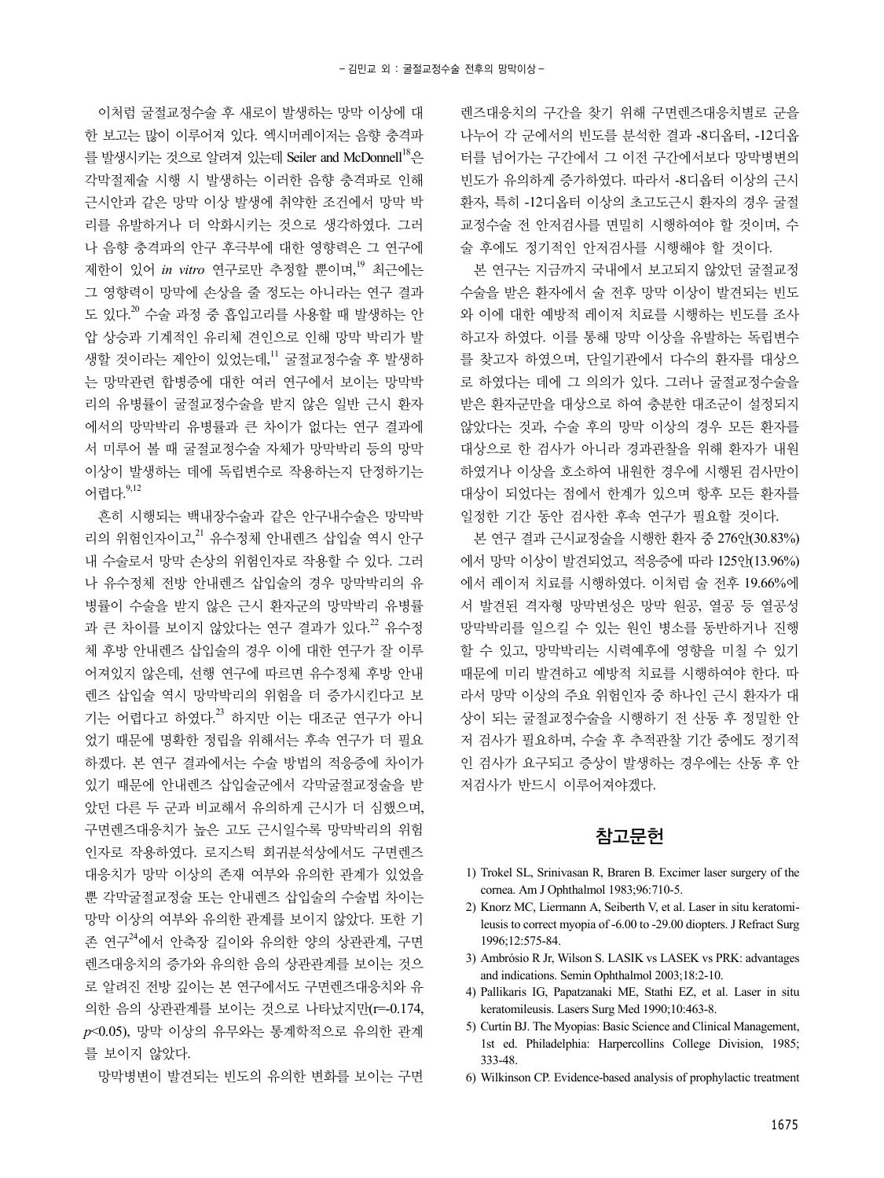이처럼 굴절교정수술 후 새로이 발생하는 망막 이상에 대 한 보고는 많이 이루어져 있다. 엑시머레이저는 음향 충격파 를 발생시키는 것으로 알려져 있는데 Seiler and McDonnell<sup>18</sup>은 각막절제술 시행 시 발생하는 이러한 음향 충격파로 인해 근시안과 같은 망막 이상 발생에 취약한 조건에서 망막 박 리를 유발하거나 더 악화시키는 것으로 생각하였다. 그러 나 음향 충격파의 안구 후극부에 대한 영향력은 그 연구에 제한이 있어 *in vitro* 연구로만 추정할 뿐이며, <sup>19</sup> 최근에는 그 영향력이 망막에 손상을 줄 정도는 아니라는 연구 결과 도 있다.<sup>20</sup> 수술 과정 중 흡입고리를 사용할 때 발생하는 안 압 상승과 기계적인 유리체 견인으로 인해 망막 박리가 발 생할 것이라는 제안이 있었는데, " 굴절교정수술 후 발생하 는 망막관련 합병증에 대한 여러 연구에서 보이는 망막박 리의 유병률이 굴절교정수술을 받지 않은 일반 근시 환자 에서의 망막박리 유병률과 큰 차이가 없다는 연구 결과에 서 미루어 볼 때 굴절교정수술 자체가 망막박리 등의 망막 이상이 발생하는 데에 독립변수로 작용하는지 단정하기는 어렵다. 9,12

흔히 시행되는 백내장수술과 같은 안구내수술은 망막박 리의 위험인자이고, 21 유수정체 안내렌즈 삽입술 역시 안구 내 수술로서 망막 손상의 위험인자로 작용할 수 있다. 그러 나 유수정체 전방 안내렌즈 삽입술의 경우 망막박리의 유 병률이 수술을 받지 않은 근시 환자군의 망막박리 유병률 과 큰 차이를 보이지 않았다는 연구 결과가 있다.<sup>22</sup> 유수정 체 후방 안내렌즈 삽입술의 경우 이에 대한 연구가 잘 이루 어져있지 않은데, 선행 연구에 따르면 유수정체 후방 안내 렌즈 삽입술 역시 망막박리의 위험을 더 증가시킨다고 보 기는 어렵다고 하였다.<sup>23</sup> 하지만 이는 대조군 연구가 아니 었기 때문에 명확한 정립을 위해서는 후속 연구가 더 필요 하겠다. 본 연구 결과에서는 수술 방법의 적응증에 차이가 있기 때문에 안내렌즈 삽입술군에서 각막굴절교정술을 받 았던 다른 두 군과 비교해서 유의하게 근시가 더 심했으며, 구면렌즈대응치가 높은 고도 근시일수록 망막박리의 위험 인자로 작용하였다. 로지스틱 회귀분석상에서도 구면렌즈 대응치가 망막 이상의 존재 여부와 유의한 관계가 있었을 뿐 각막굴절교정술 또는 안내렌즈 삽입술의 수술법 차이는 망막 이상의 여부와 유의한 관계를 보이지 않았다. 또한 기 존 연구<sup>24</sup>에서 안축장 길이와 유의한 양의 상관관계, 구면 렌즈대응치의 증가와 유의한 음의 상관관계를 보이는 것으 로 알려진 전방 깊이는 본 연구에서도 구면렌즈대응치와 유 의한 음의 상관관계를 보이는 것으로 나타났지만(r=-0.174, *p*<0.05), 망막 이상의 유무와는 통계학적으로 유의한 관계 를 보이지 않았다.

망막병변이 발견되는 빈도의 유의한 변화를 보이는 구면

렌즈대응치의 구간을 찾기 위해 구면렌즈대응치별로 군을 나누어 각 군에서의 빈도를 분석한 결과 -8디옵터, -12디옵 터를 넘어가는 구간에서 그 이전 구간에서보다 망막병변의 빈도가 유의하게 증가하였다. 따라서 -8디옵터 이상의 근시 환자, 특히 -12디옵터 이상의 초고도근시 환자의 경우 굴절 교정수술 전 안저검사를 면밀히 시행하여야 할 것이며, 수 술 후에도 정기적인 안저검사를 시행해야 할 것이다.

본 연구는 지금까지 국내에서 보고되지 않았던 굴절교정 수술을 받은 환자에서 술 전후 망막 이상이 발견되는 빈도 와 이에 대한 예방적 레이저 치료를 시행하는 빈도를 조사 하고자 하였다. 이를 통해 망막 이상을 유발하는 독립변수 를 찾고자 하였으며, 단일기관에서 다수의 환자를 대상으 로 하였다는 데에 그 의의가 있다. 그러나 굴절교정수술을 받은 환자군만을 대상으로 하여 충분한 대조군이 설정되지 않았다는 것과, 수술 후의 망막 이상의 경우 모든 환자를 대상으로 한 검사가 아니라 경과관찰을 위해 환자가 내원 하였거나 이상을 호소하여 내원한 경우에 시행된 검사만이 대상이 되었다는 점에서 한계가 있으며 항후 모든 환자를 일정한 기간 동안 검사한 후속 연구가 필요할 것이다.

본 연구 결과 근시교정술을 시행한 환자 중 276안(30.83%) 에서 망막 이상이 발견되었고, 적응증에 따라 125안(13.96%) 에서 레이저 치료를 시행하였다. 이처럼 술 전후 19.66%에 서 발견된 격자형 망막변성은 망막 원공, 열공 등 열공성 망막박리를 일으킬 수 있는 원인 병소를 동반하거나 진행 할 수 있고, 망막박리는 시력예후에 영향을 미칠 수 있기 때문에 미리 발견하고 예방적 치료를 시행하여야 한다. 따 라서 망막 이상의 주요 위험인자 중 하나인 근시 환자가 대 상이 되는 굴절교정수술을 시행하기 전 산동 후 정밀한 안 저 검사가 필요하며, 수술 후 추적관찰 기간 중에도 정기적 인 검사가 요구되고 증상이 발생하는 경우에는 산동 후 안 저검사가 반드시 이루어져야겠다.

#### 참고문헌

- 1) Trokel SL, Srinivasan R, Braren B. Excimer laser surgery of the cornea. Am J Ophthalmol 1983;96:710-5.
- 2) Knorz MC, Liermann A, Seiberth V, et al. Laser in situ keratomileusis to correct myopia of -6.00 to -29.00 diopters. J Refract Surg 1996;12:575-84.
- 3) Ambrósio R Jr, Wilson S. LASIK vs LASEK vs PRK: advantages and indications. Semin Ophthalmol 2003;18:2-10.
- 4) Pallikaris IG, Papatzanaki ME, Stathi EZ, et al. Laser in situ keratomileusis. Lasers Surg Med 1990;10:463-8.
- 5) Curtin BJ. The Myopias: Basic Science and Clinical Management, 1st ed. Philadelphia: Harpercollins College Division, 1985; 333-48.
- 6) Wilkinson CP. Evidence-based analysis of prophylactic treatment